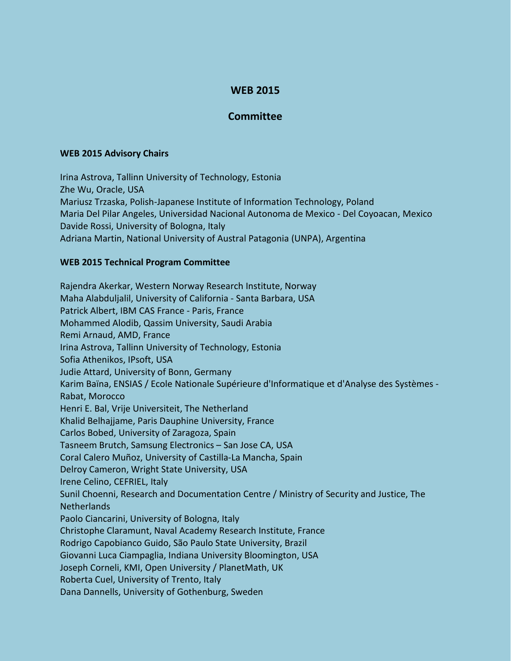## **WEB 2015**

## **Committee**

## **WEB 2015 Advisory Chairs**

Irina Astrova, Tallinn University of Technology, Estonia Zhe Wu, Oracle, USA Mariusz Trzaska, Polish-Japanese Institute of Information Technology, Poland Maria Del Pilar Angeles, Universidad Nacional Autonoma de Mexico - Del Coyoacan, Mexico Davide Rossi, University of Bologna, Italy Adriana Martin, National University of Austral Patagonia (UNPA), Argentina

## **WEB 2015 Technical Program Committee**

Rajendra Akerkar, Western Norway Research Institute, Norway Maha Alabduljalil, University of California - Santa Barbara, USA Patrick Albert, IBM CAS France - Paris, France Mohammed Alodib, Qassim University, Saudi Arabia Remi Arnaud, AMD, France Irina Astrova, Tallinn University of Technology, Estonia Sofia Athenikos, IPsoft, USA Judie Attard, University of Bonn, Germany Karim Baïna, ENSIAS / Ecole Nationale Supérieure d'Informatique et d'Analyse des Systèmes - Rabat, Morocco Henri E. Bal, Vrije Universiteit, The Netherland Khalid Belhajjame, Paris Dauphine University, France Carlos Bobed, University of Zaragoza, Spain Tasneem Brutch, Samsung Electronics – San Jose CA, USA Coral Calero Muñoz, University of Castilla-La Mancha, Spain Delroy Cameron, Wright State University, USA Irene Celino, CEFRIEL, Italy Sunil Choenni, Research and Documentation Centre / Ministry of Security and Justice, The **Netherlands** Paolo Ciancarini, University of Bologna, Italy Christophe Claramunt, Naval Academy Research Institute, France Rodrigo Capobianco Guido, São Paulo State University, Brazil Giovanni Luca Ciampaglia, Indiana University Bloomington, USA Joseph Corneli, KMI, Open University / PlanetMath, UK Roberta Cuel, University of Trento, Italy Dana Dannells, University of Gothenburg, Sweden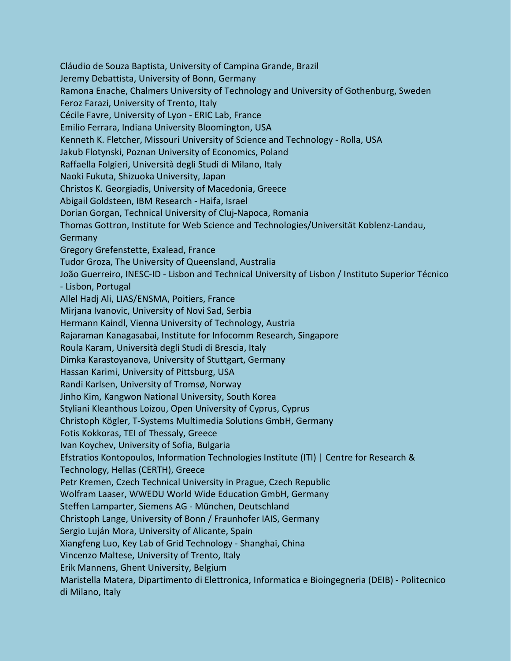Cláudio de Souza Baptista, University of Campina Grande, Brazil Jeremy Debattista, University of Bonn, Germany Ramona Enache, Chalmers University of Technology and University of Gothenburg, Sweden Feroz Farazi, University of Trento, Italy Cécile Favre, University of Lyon - ERIC Lab, France Emilio Ferrara, Indiana University Bloomington, USA Kenneth K. Fletcher, Missouri University of Science and Technology - Rolla, USA Jakub Flotynski, Poznan University of Economics, Poland Raffaella Folgieri, Università degli Studi di Milano, Italy Naoki Fukuta, Shizuoka University, Japan Christos K. Georgiadis, University of Macedonia, Greece Abigail Goldsteen, IBM Research - Haifa, Israel Dorian Gorgan, Technical University of Cluj-Napoca, Romania Thomas Gottron, Institute for Web Science and Technologies/Universität Koblenz-Landau, **Germany** Gregory Grefenstette, Exalead, France Tudor Groza, The University of Queensland, Australia João Guerreiro, INESC-ID - Lisbon and Technical University of Lisbon / Instituto Superior Técnico - Lisbon, Portugal Allel Hadj Ali, LIAS/ENSMA, Poitiers, France Mirjana Ivanovic, University of Novi Sad, Serbia Hermann Kaindl, Vienna University of Technology, Austria Rajaraman Kanagasabai, Institute for Infocomm Research, Singapore Roula Karam, Università degli Studi di Brescia, Italy Dimka Karastoyanova, University of Stuttgart, Germany Hassan Karimi, University of Pittsburg, USA Randi Karlsen, University of Tromsø, Norway Jinho Kim, Kangwon National University, South Korea Styliani Kleanthous Loizou, Open University of Cyprus, Cyprus Christoph Kögler, T-Systems Multimedia Solutions GmbH, Germany Fotis Kokkoras, TEI of Thessaly, Greece Ivan Koychev, University of Sofia, Bulgaria Efstratios Kontopoulos, Information Technologies Institute (ITI) | Centre for Research & Technology, Hellas (CERTH), Greece Petr Kremen, Czech Technical University in Prague, Czech Republic Wolfram Laaser, WWEDU World Wide Education GmbH, Germany Steffen Lamparter, Siemens AG - München, Deutschland Christoph Lange, University of Bonn / Fraunhofer IAIS, Germany Sergio Luján Mora, University of Alicante, Spain Xiangfeng Luo, Key Lab of Grid Technology - Shanghai, China Vincenzo Maltese, University of Trento, Italy Erik Mannens, Ghent University, Belgium Maristella Matera, Dipartimento di Elettronica, Informatica e Bioingegneria (DEIB) - Politecnico di Milano, Italy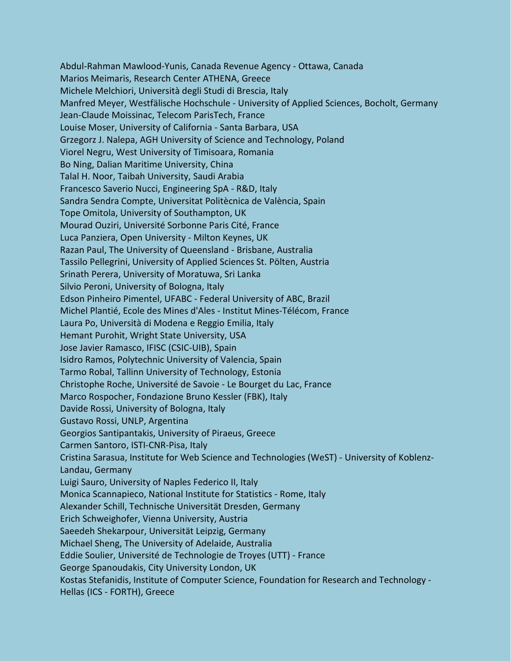Abdul-Rahman Mawlood-Yunis, Canada Revenue Agency - Ottawa, Canada Marios Meimaris, Research Center ATHENA, Greece Michele Melchiori, Università degli Studi di Brescia, Italy Manfred Meyer, Westfälische Hochschule - University of Applied Sciences, Bocholt, Germany Jean-Claude Moissinac, Telecom ParisTech, France Louise Moser, University of California - Santa Barbara, USA Grzegorz J. Nalepa, AGH University of Science and Technology, Poland Viorel Negru, West University of Timisoara, Romania Bo Ning, Dalian Maritime University, China Talal H. Noor, Taibah University, Saudi Arabia Francesco Saverio Nucci, Engineering SpA - R&D, Italy Sandra Sendra Compte, Universitat Politècnica de València, Spain Tope Omitola, University of Southampton, UK Mourad Ouziri, Université Sorbonne Paris Cité, France Luca Panziera, Open University - Milton Keynes, UK Razan Paul, The University of Queensland - Brisbane, Australia Tassilo Pellegrini, University of Applied Sciences St. Pölten, Austria Srinath Perera, University of Moratuwa, Sri Lanka Silvio Peroni, University of Bologna, Italy Edson Pinheiro Pimentel, UFABC - Federal University of ABC, Brazil Michel Plantié, Ecole des Mines d'Ales - Institut Mines-Télécom, France Laura Po, Università di Modena e Reggio Emilia, Italy Hemant Purohit, Wright State University, USA Jose Javier Ramasco, IFISC (CSIC-UIB), Spain Isidro Ramos, Polytechnic University of Valencia, Spain Tarmo Robal, Tallinn University of Technology, Estonia Christophe Roche, Université de Savoie - Le Bourget du Lac, France Marco Rospocher, Fondazione Bruno Kessler (FBK), Italy Davide Rossi, University of Bologna, Italy Gustavo Rossi, UNLP, Argentina Georgios Santipantakis, University of Piraeus, Greece Carmen Santoro, ISTI-CNR-Pisa, Italy Cristina Sarasua, Institute for Web Science and Technologies (WeST) - University of Koblenz-Landau, Germany Luigi Sauro, University of Naples Federico II, Italy Monica Scannapieco, National Institute for Statistics - Rome, Italy Alexander Schill, Technische Universität Dresden, Germany Erich Schweighofer, Vienna University, Austria Saeedeh Shekarpour, Universität Leipzig, Germany Michael Sheng, The University of Adelaide, Australia Eddie Soulier, Université de Technologie de Troyes (UTT) - France George Spanoudakis, City University London, UK Kostas Stefanidis, Institute of Computer Science, Foundation for Research and Technology - Hellas (ICS - FORTH), Greece